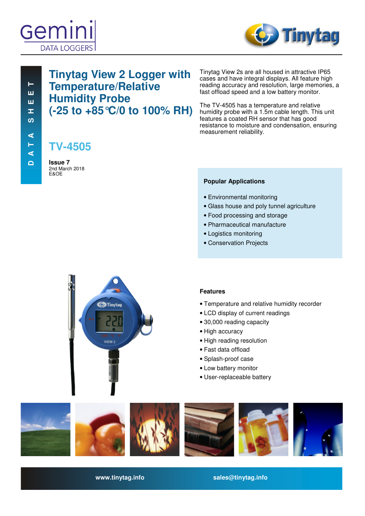



# **Tinytag View 2 Logger with Temperature/Relative Humidity Probe (-25 to +85°C/0 to 100% RH)**

**TV-4505**

**Issue 7**  2nd March 2018 E&OE

Tinytag View 2s are all housed in attractive IP65 cases and have integral displays. All feature high reading accuracy and resolution, large memories, a fast offload speed and a low battery monitor.

The TV-4505 has a temperature and relative humidity probe with a 1.5m cable length. This unit features a coated RH sensor that has good resistance to moisture and condensation, ensuring measurement reliability.

### **Popular Applications**

- Environmental monitoring
- Glass house and poly tunnel agriculture
- Food processing and storage
- Pharmaceutical manufacture
- Logistics monitoring
- Conservation Projects



### **Features**

- Temperature and relative humidity recorder
- LCD display of current readings
- 30,000 reading capacity
- High accuracy
- High reading resolution
- Fast data offload
- Splash-proof case
- Low battery monitor
- User-replaceable battery



**www.tinytag.info sales@tinytag.info**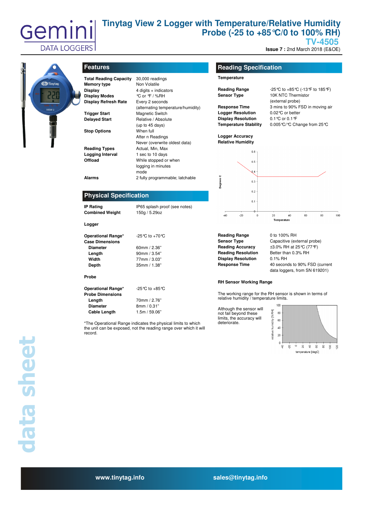

# **Tinytag View 2 Logger with Temperature/Relative Humidity Probe (-25 to +85°C/0 to 100% RH)**

**TV-4505** 

**Issue 7 : 2nd March 2018 (E&OE)** 



| <b>Total Reading Capacity</b> | 30,000 readings                    |  |
|-------------------------------|------------------------------------|--|
| <b>Memory type</b>            | Non Volatile                       |  |
| Display                       | 4 digits + indicators              |  |
| <b>Display Modes</b>          | ℃ or °F / %RH                      |  |
| <b>Display Refresh Rate</b>   | Every 2 seconds                    |  |
|                               |                                    |  |
|                               | (alternating temperature/humidity) |  |
| <b>Trigger Start</b>          | <b>Magnetic Switch</b>             |  |
| <b>Delayed Start</b>          | Relative / Absolute                |  |
|                               | (up to 45 days)                    |  |
| <b>Stop Options</b>           | When full                          |  |
|                               | After n Readings                   |  |
|                               | Never (overwrite oldest data)      |  |
| <b>Reading Types</b>          | Actual, Min, Max                   |  |
| Logging Interval              | 1 sec to 10 days                   |  |
| Offload                       | While stopped or when              |  |
|                               | logging in minutes                 |  |
|                               | mode                               |  |
| Alarms                        | 2 fully programmable; latchable    |  |
|                               |                                    |  |
|                               |                                    |  |
| <b>Physical Specification</b> |                                    |  |
|                               |                                    |  |
|                               |                                    |  |
| <b>IP Rating</b>              | IP65 splash proof (see notes)      |  |
| <b>Combined Weight</b>        | 150g / 5.29oz                      |  |
|                               |                                    |  |
| Logger                        |                                    |  |
|                               |                                    |  |
| <b>Operational Range*</b>     | -25 °C to +70 °C                   |  |
| <b>Case Dimensions</b>        |                                    |  |
| <b>Diameter</b>               | 60mm / $2.36"$                     |  |
| Length                        | 90mm / 3.54"                       |  |
| Width                         | 77mm / 3.03"                       |  |
| Depth                         | 35mm / 1.38"                       |  |
| Probe                         |                                    |  |
|                               |                                    |  |
| <b>Operational Range*</b>     | $-25^{\circ}$ C to $+85^{\circ}$ C |  |
| <b>Probe Dimensions</b>       |                                    |  |
| Length                        | 70mm / 2.76"                       |  |
| <b>Diameter</b>               | 8mm / 0.31"                        |  |
| Cable Length                  | 1.5m / 59.06"                      |  |

\*The Operational Range indicates the physical limits to which the unit can be exposed, not the reading range over which it will record.

### **Features Reading Specification**

#### **Temperature**

| Reading Range |  |
|---------------|--|
| Sensor Type   |  |

**Logger Resolution** 0.02°C or better **Display Resolution** 0.1°C or 0.1°F

**Reading Range** -25°C to +85°C (-13°F to 185°F) **Sear Type 10K NTC Thermistor**  (external probe) **Response Time** 3 mins to 90% FSD in moving air **Temperature Stability** 0.005°C/°C Change from 25°C

**Logger Accuracy Relative Humidity** 



**Reading Range** 0 to 100% RH **Reading Resolution** Better than 0.3% RH **Display Resolution** 0.1% RH

**Sensor Type** Capacitive (external probe) **Reading Accuracy** ±3.0% RH at 25°C (77°F) **Response Time** 40 seconds to 90% FSD (current data loggers, from SN 619201)

#### **RH Sensor Working Range**

The working range for the RH sensor is shown in terms of relative humidity / temperature limits.

Although the sensor will not fail beyond these limits, the accuracy will deteriorate.